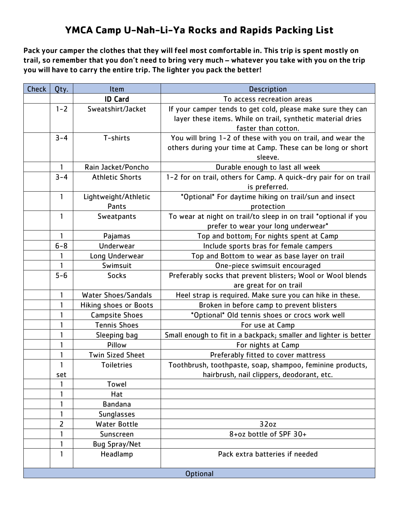## **YMCA Camp U-Nah-Li-Ya Rocks and Rapids Packing List**

Pack your camper the clothes that they will feel most comfortable in. This trip is spent mostly on trail, so remember that you don't need to bring very much – whatever you take with you on the trip you will have to carry the entire trip. The lighter you pack the better!

| <b>Check</b> | Qty.         | Item                         | <b>Description</b>                                               |  |
|--------------|--------------|------------------------------|------------------------------------------------------------------|--|
|              |              | <b>ID Card</b>               | To access recreation areas                                       |  |
|              | $1 - 2$      | Sweatshirt/Jacket            | If your camper tends to get cold, please make sure they can      |  |
|              |              |                              | layer these items. While on trail, synthetic material dries      |  |
|              |              |                              | faster than cotton.                                              |  |
|              | $3 - 4$      | T-shirts                     | You will bring 1-2 of these with you on trail, and wear the      |  |
|              |              |                              | others during your time at Camp. These can be long or short      |  |
|              |              |                              | sleeve.                                                          |  |
|              | $\mathbf{1}$ | Rain Jacket/Poncho           | Durable enough to last all week                                  |  |
|              | $3 - 4$      | <b>Athletic Shorts</b>       | 1-2 for on trail, others for Camp. A quick-dry pair for on trail |  |
|              |              |                              | is preferred.                                                    |  |
|              | 1            | Lightweight/Athletic         | *Optional* For daytime hiking on trail/sun and insect            |  |
|              |              | Pants                        | protection                                                       |  |
|              | 1            | Sweatpants                   | To wear at night on trail/to sleep in on trail *optional if you  |  |
|              |              |                              | prefer to wear your long underwear*                              |  |
|              | 1            | Pajamas                      | Top and bottom; For nights spent at Camp                         |  |
|              | $6 - 8$      | Underwear                    | Include sports bras for female campers                           |  |
|              | 1            | Long Underwear               | Top and Bottom to wear as base layer on trail                    |  |
|              | 1            | Swimsuit                     | One-piece swimsuit encouraged                                    |  |
|              | $5 - 6$      | <b>Socks</b>                 | Preferably socks that prevent blisters; Wool or Wool blends      |  |
|              |              |                              | are great for on trail                                           |  |
|              | 1            | <b>Water Shoes/Sandals</b>   | Heel strap is required. Make sure you can hike in these.         |  |
|              | 1            | <b>Hiking shoes or Boots</b> | Broken in before camp to prevent blisters                        |  |
|              | 1            | <b>Campsite Shoes</b>        | *Optional* Old tennis shoes or crocs work well                   |  |
|              | 1            | <b>Tennis Shoes</b>          | For use at Camp                                                  |  |
|              | 1            | Sleeping bag                 | Small enough to fit in a backpack; smaller and lighter is better |  |
|              | 1            | Pillow                       | For nights at Camp                                               |  |
|              | 1            | <b>Twin Sized Sheet</b>      | Preferably fitted to cover mattress                              |  |
|              |              | <b>Toiletries</b>            | Toothbrush, toothpaste, soap, shampoo, feminine products,        |  |
|              | set          |                              | hairbrush, nail clippers, deodorant, etc.                        |  |
|              | 1            | <b>Towel</b>                 |                                                                  |  |
|              | 1            | Hat                          |                                                                  |  |
|              |              | <b>Bandana</b>               |                                                                  |  |
|              | 1            | <b>Sunglasses</b>            |                                                                  |  |
|              | 2            | <b>Water Bottle</b>          | 32oz                                                             |  |
|              | 1            | <b>Sunscreen</b>             | 8+oz bottle of SPF 30+                                           |  |
|              | 1            | <b>Bug Spray/Net</b>         |                                                                  |  |
|              | 1            | Headlamp                     | Pack extra batteries if needed                                   |  |
|              |              |                              |                                                                  |  |
|              | Optional     |                              |                                                                  |  |